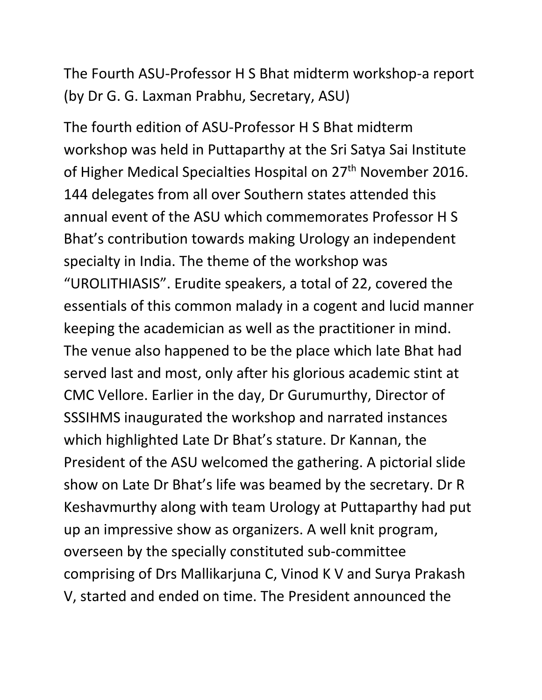The Fourth ASU-Professor H S Bhat midterm workshop-a report (by Dr G. G. Laxman Prabhu, Secretary, ASU)

The fourth edition of ASU-Professor H S Bhat midterm workshop was held in Puttaparthy at the Sri Satya Sai Institute of Higher Medical Specialties Hospital on 27<sup>th</sup> November 2016. 144 delegates from all over Southern states attended this annual event of the ASU which commemorates Professor H S Bhat's contribution towards making Urology an independent specialty in India. The theme of the workshop was "UROLITHIASIS". Erudite speakers, a total of 22, covered the essentials of this common malady in a cogent and lucid manner keeping the academician as well as the practitioner in mind. The venue also happened to be the place which late Bhat had served last and most, only after his glorious academic stint at CMC Vellore. Earlier in the day, Dr Gurumurthy, Director of SSSIHMS inaugurated the workshop and narrated instances which highlighted Late Dr Bhat's stature. Dr Kannan, the President of the ASU welcomed the gathering. A pictorial slide show on Late Dr Bhat's life was beamed by the secretary. Dr R Keshavmurthy along with team Urology at Puttaparthy had put up an impressive show as organizers. A well knit program, overseen by the specially constituted sub-committee comprising of Drs Mallikarjuna C, Vinod K V and Surya Prakash V, started and ended on time. The President announced the